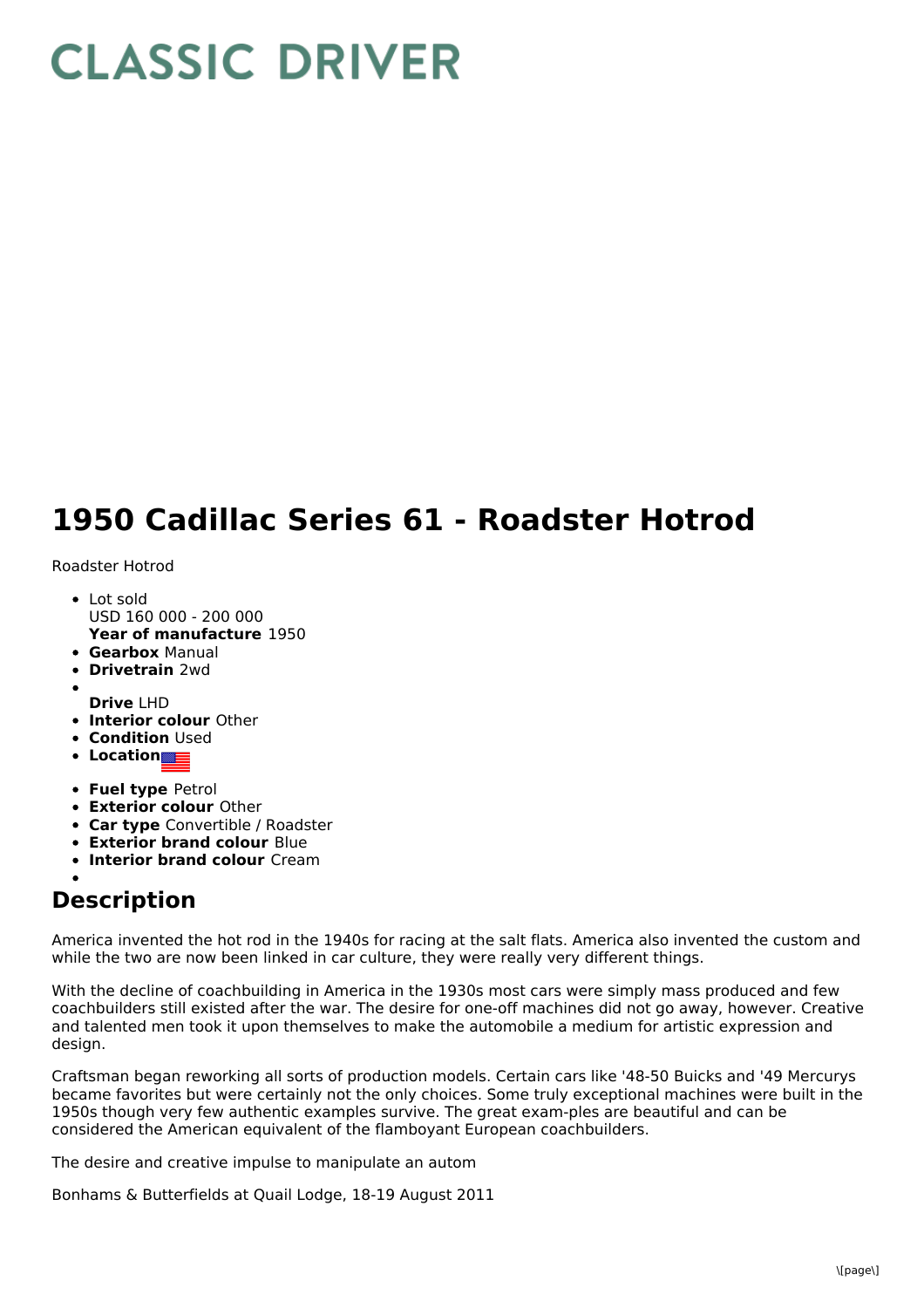## **CLASSIC DRIVER**

## **1950 Cadillac Series 61 - Roadster Hotrod**

Roadster Hotrod

- **Year of manufacture** 1950 Lot sold USD 160 000 - 200 000
- **Gearbox** Manual
- **Drivetrain** 2wd
- **Drive** LHD
- **Interior colour** Other
- **Condition** Used
- **Location**
- **Fuel type** Petrol
- **Exterior colour** Other
- **Car type** Convertible / Roadster
- **Exterior brand colour** Blue
- **Interior brand colour** Cream

## **Description**

America invented the hot rod in the 1940s for racing at the salt flats. America also invented the custom and while the two are now been linked in car culture, they were really very different things.

With the decline of coachbuilding in America in the 1930s most cars were simply mass produced and few coachbuilders still existed after the war. The desire for one-off machines did not go away, however. Creative and talented men took it upon themselves to make the automobile a medium for artistic expression and design.

Craftsman began reworking all sorts of production models. Certain cars like '48-50 Buicks and '49 Mercurys became favorites but were certainly not the only choices. Some truly exceptional machines were built in the 1950s though very few authentic examples survive. The great exam-ples are beautiful and can be considered the American equivalent of the flamboyant European coachbuilders.

The desire and creative impulse to manipulate an autom

Bonhams & Butterfields at Quail Lodge, 18-19 August 2011